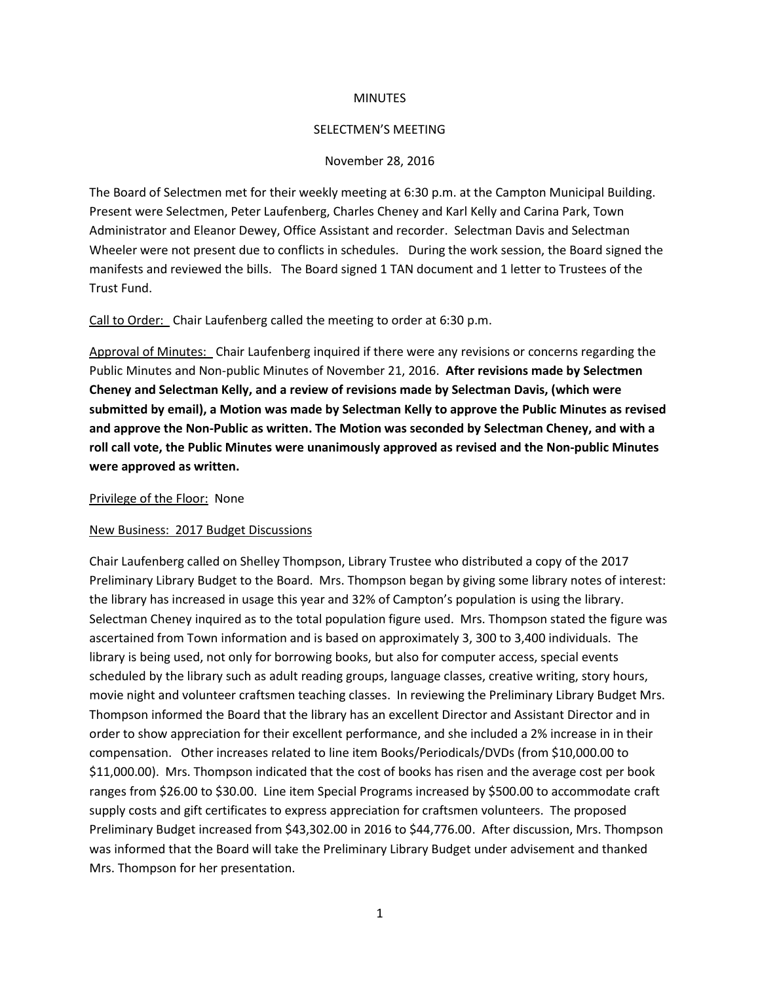## **MINUTES**

## SELECTMEN'S MEETING

## November 28, 2016

The Board of Selectmen met for their weekly meeting at 6:30 p.m. at the Campton Municipal Building. Present were Selectmen, Peter Laufenberg, Charles Cheney and Karl Kelly and Carina Park, Town Administrator and Eleanor Dewey, Office Assistant and recorder. Selectman Davis and Selectman Wheeler were not present due to conflicts in schedules. During the work session, the Board signed the manifests and reviewed the bills. The Board signed 1 TAN document and 1 letter to Trustees of the Trust Fund.

Call to Order: Chair Laufenberg called the meeting to order at 6:30 p.m.

Approval of Minutes: Chair Laufenberg inquired if there were any revisions or concerns regarding the Public Minutes and Non-public Minutes of November 21, 2016. **After revisions made by Selectmen Cheney and Selectman Kelly, and a review of revisions made by Selectman Davis, (which were submitted by email), a Motion was made by Selectman Kelly to approve the Public Minutes as revised and approve the Non-Public as written. The Motion was seconded by Selectman Cheney, and with a roll call vote, the Public Minutes were unanimously approved as revised and the Non-public Minutes were approved as written.**

Privilege of the Floor: None

## New Business: 2017 Budget Discussions

Chair Laufenberg called on Shelley Thompson, Library Trustee who distributed a copy of the 2017 Preliminary Library Budget to the Board. Mrs. Thompson began by giving some library notes of interest: the library has increased in usage this year and 32% of Campton's population is using the library. Selectman Cheney inquired as to the total population figure used. Mrs. Thompson stated the figure was ascertained from Town information and is based on approximately 3, 300 to 3,400 individuals. The library is being used, not only for borrowing books, but also for computer access, special events scheduled by the library such as adult reading groups, language classes, creative writing, story hours, movie night and volunteer craftsmen teaching classes. In reviewing the Preliminary Library Budget Mrs. Thompson informed the Board that the library has an excellent Director and Assistant Director and in order to show appreciation for their excellent performance, and she included a 2% increase in in their compensation. Other increases related to line item Books/Periodicals/DVDs (from \$10,000.00 to \$11,000.00). Mrs. Thompson indicated that the cost of books has risen and the average cost per book ranges from \$26.00 to \$30.00. Line item Special Programs increased by \$500.00 to accommodate craft supply costs and gift certificates to express appreciation for craftsmen volunteers. The proposed Preliminary Budget increased from \$43,302.00 in 2016 to \$44,776.00. After discussion, Mrs. Thompson was informed that the Board will take the Preliminary Library Budget under advisement and thanked Mrs. Thompson for her presentation.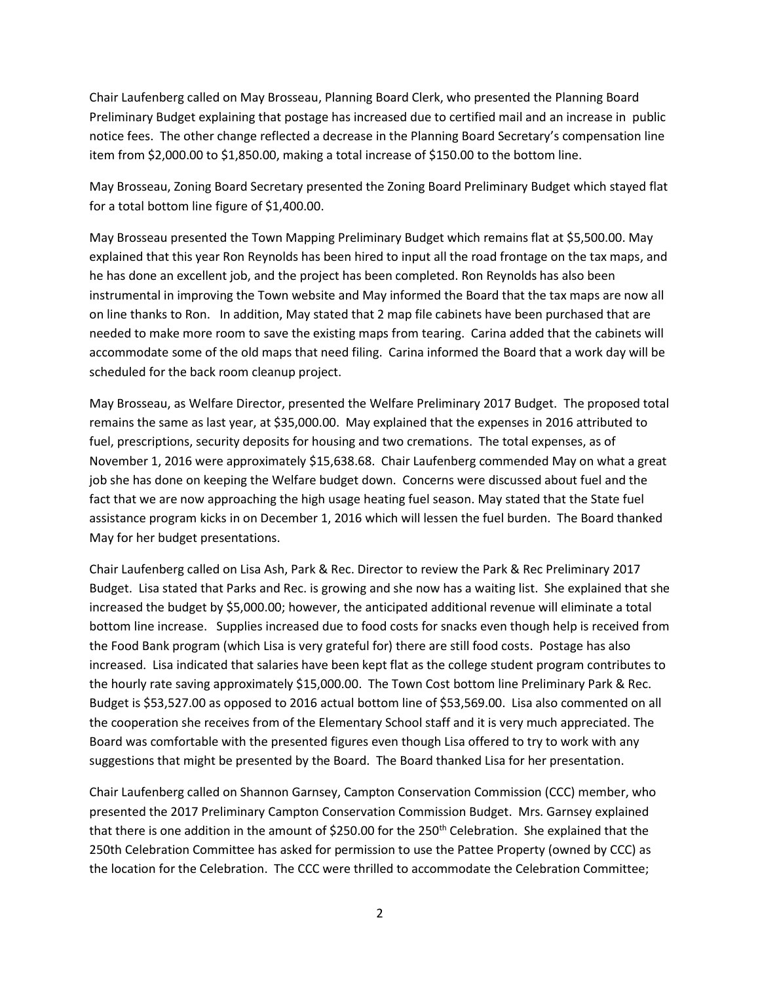Chair Laufenberg called on May Brosseau, Planning Board Clerk, who presented the Planning Board Preliminary Budget explaining that postage has increased due to certified mail and an increase in public notice fees. The other change reflected a decrease in the Planning Board Secretary's compensation line item from \$2,000.00 to \$1,850.00, making a total increase of \$150.00 to the bottom line.

May Brosseau, Zoning Board Secretary presented the Zoning Board Preliminary Budget which stayed flat for a total bottom line figure of \$1,400.00.

May Brosseau presented the Town Mapping Preliminary Budget which remains flat at \$5,500.00. May explained that this year Ron Reynolds has been hired to input all the road frontage on the tax maps, and he has done an excellent job, and the project has been completed. Ron Reynolds has also been instrumental in improving the Town website and May informed the Board that the tax maps are now all on line thanks to Ron. In addition, May stated that 2 map file cabinets have been purchased that are needed to make more room to save the existing maps from tearing. Carina added that the cabinets will accommodate some of the old maps that need filing. Carina informed the Board that a work day will be scheduled for the back room cleanup project.

May Brosseau, as Welfare Director, presented the Welfare Preliminary 2017 Budget. The proposed total remains the same as last year, at \$35,000.00. May explained that the expenses in 2016 attributed to fuel, prescriptions, security deposits for housing and two cremations. The total expenses, as of November 1, 2016 were approximately \$15,638.68. Chair Laufenberg commended May on what a great job she has done on keeping the Welfare budget down. Concerns were discussed about fuel and the fact that we are now approaching the high usage heating fuel season. May stated that the State fuel assistance program kicks in on December 1, 2016 which will lessen the fuel burden. The Board thanked May for her budget presentations.

Chair Laufenberg called on Lisa Ash, Park & Rec. Director to review the Park & Rec Preliminary 2017 Budget. Lisa stated that Parks and Rec. is growing and she now has a waiting list. She explained that she increased the budget by \$5,000.00; however, the anticipated additional revenue will eliminate a total bottom line increase. Supplies increased due to food costs for snacks even though help is received from the Food Bank program (which Lisa is very grateful for) there are still food costs. Postage has also increased. Lisa indicated that salaries have been kept flat as the college student program contributes to the hourly rate saving approximately \$15,000.00. The Town Cost bottom line Preliminary Park & Rec. Budget is \$53,527.00 as opposed to 2016 actual bottom line of \$53,569.00. Lisa also commented on all the cooperation she receives from of the Elementary School staff and it is very much appreciated. The Board was comfortable with the presented figures even though Lisa offered to try to work with any suggestions that might be presented by the Board. The Board thanked Lisa for her presentation.

Chair Laufenberg called on Shannon Garnsey, Campton Conservation Commission (CCC) member, who presented the 2017 Preliminary Campton Conservation Commission Budget. Mrs. Garnsey explained that there is one addition in the amount of \$250.00 for the 250<sup>th</sup> Celebration. She explained that the 250th Celebration Committee has asked for permission to use the Pattee Property (owned by CCC) as the location for the Celebration. The CCC were thrilled to accommodate the Celebration Committee;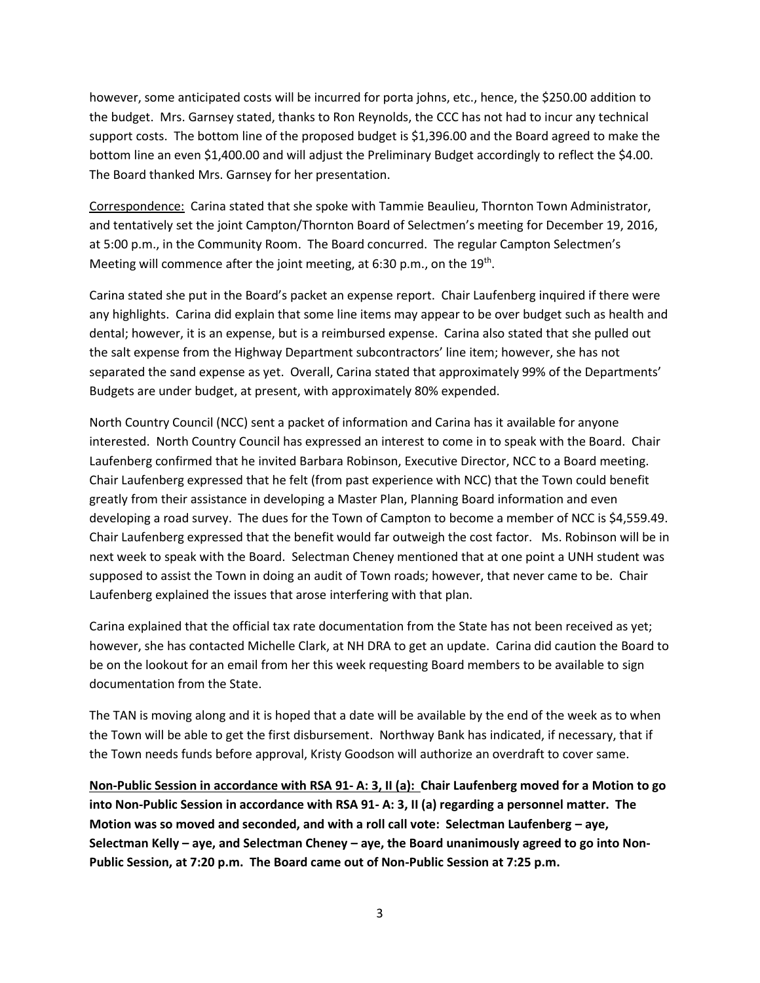however, some anticipated costs will be incurred for porta johns, etc., hence, the \$250.00 addition to the budget. Mrs. Garnsey stated, thanks to Ron Reynolds, the CCC has not had to incur any technical support costs. The bottom line of the proposed budget is \$1,396.00 and the Board agreed to make the bottom line an even \$1,400.00 and will adjust the Preliminary Budget accordingly to reflect the \$4.00. The Board thanked Mrs. Garnsey for her presentation.

Correspondence: Carina stated that she spoke with Tammie Beaulieu, Thornton Town Administrator, and tentatively set the joint Campton/Thornton Board of Selectmen's meeting for December 19, 2016, at 5:00 p.m., in the Community Room. The Board concurred. The regular Campton Selectmen's Meeting will commence after the joint meeting, at 6:30 p.m., on the 19<sup>th</sup>.

Carina stated she put in the Board's packet an expense report. Chair Laufenberg inquired if there were any highlights. Carina did explain that some line items may appear to be over budget such as health and dental; however, it is an expense, but is a reimbursed expense. Carina also stated that she pulled out the salt expense from the Highway Department subcontractors' line item; however, she has not separated the sand expense as yet. Overall, Carina stated that approximately 99% of the Departments' Budgets are under budget, at present, with approximately 80% expended.

North Country Council (NCC) sent a packet of information and Carina has it available for anyone interested. North Country Council has expressed an interest to come in to speak with the Board. Chair Laufenberg confirmed that he invited Barbara Robinson, Executive Director, NCC to a Board meeting. Chair Laufenberg expressed that he felt (from past experience with NCC) that the Town could benefit greatly from their assistance in developing a Master Plan, Planning Board information and even developing a road survey. The dues for the Town of Campton to become a member of NCC is \$4,559.49. Chair Laufenberg expressed that the benefit would far outweigh the cost factor. Ms. Robinson will be in next week to speak with the Board. Selectman Cheney mentioned that at one point a UNH student was supposed to assist the Town in doing an audit of Town roads; however, that never came to be. Chair Laufenberg explained the issues that arose interfering with that plan.

Carina explained that the official tax rate documentation from the State has not been received as yet; however, she has contacted Michelle Clark, at NH DRA to get an update. Carina did caution the Board to be on the lookout for an email from her this week requesting Board members to be available to sign documentation from the State.

The TAN is moving along and it is hoped that a date will be available by the end of the week as to when the Town will be able to get the first disbursement. Northway Bank has indicated, if necessary, that if the Town needs funds before approval, Kristy Goodson will authorize an overdraft to cover same.

**Non-Public Session in accordance with RSA 91- A: 3, II (a): Chair Laufenberg moved for a Motion to go into Non-Public Session in accordance with RSA 91- A: 3, II (a) regarding a personnel matter. The Motion was so moved and seconded, and with a roll call vote: Selectman Laufenberg – aye, Selectman Kelly – aye, and Selectman Cheney – aye, the Board unanimously agreed to go into Non-Public Session, at 7:20 p.m. The Board came out of Non-Public Session at 7:25 p.m.**